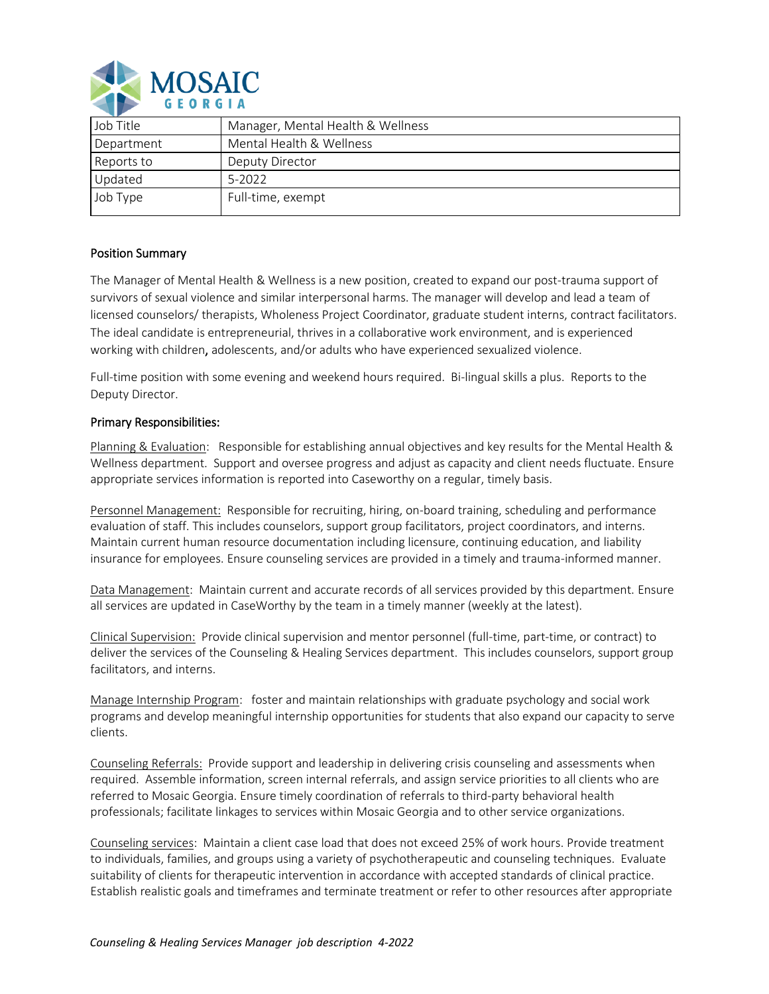

| Manager, Mental Health & Wellness |
|-----------------------------------|
| Mental Health & Wellness          |
| Deputy Director                   |
| 5-2022                            |
| Full-time, exempt                 |
|                                   |

## Position Summary

The Manager of Mental Health & Wellness is a new position, created to expand our post-trauma support of survivors of sexual violence and similar interpersonal harms. The manager will develop and lead a team of licensed counselors/ therapists, Wholeness Project Coordinator, graduate student interns, contract facilitators. The ideal candidate is entrepreneurial, thrives in a collaborative work environment, and is experienced working with children, adolescents, and/or adults who have experienced sexualized violence.

Full-time position with some evening and weekend hours required. Bi-lingual skills a plus. Reports to the Deputy Director.

## Primary Responsibilities:

Planning & Evaluation: Responsible for establishing annual objectives and key results for the Mental Health & Wellness department. Support and oversee progress and adjust as capacity and client needs fluctuate. Ensure appropriate services information is reported into Caseworthy on a regular, timely basis.

Personnel Management: Responsible for recruiting, hiring, on-board training, scheduling and performance evaluation of staff. This includes counselors, support group facilitators, project coordinators, and interns. Maintain current human resource documentation including licensure, continuing education, and liability insurance for employees. Ensure counseling services are provided in a timely and trauma-informed manner.

Data Management: Maintain current and accurate records of all services provided by this department. Ensure all services are updated in CaseWorthy by the team in a timely manner (weekly at the latest).

Clinical Supervision: Provide clinical supervision and mentor personnel (full-time, part-time, or contract) to deliver the services of the Counseling & Healing Services department. This includes counselors, support group facilitators, and interns.

Manage Internship Program: foster and maintain relationships with graduate psychology and social work programs and develop meaningful internship opportunities for students that also expand our capacity to serve clients.

Counseling Referrals: Provide support and leadership in delivering crisis counseling and assessments when required. Assemble information, screen internal referrals, and assign service priorities to all clients who are referred to Mosaic Georgia. Ensure timely coordination of referrals to third-party behavioral health professionals; facilitate linkages to services within Mosaic Georgia and to other service organizations.

Counseling services: Maintain a client case load that does not exceed 25% of work hours. Provide treatment to individuals, families, and groups using a variety of psychotherapeutic and counseling techniques. Evaluate suitability of clients for therapeutic intervention in accordance with accepted standards of clinical practice. Establish realistic goals and timeframes and terminate treatment or refer to other resources after appropriate